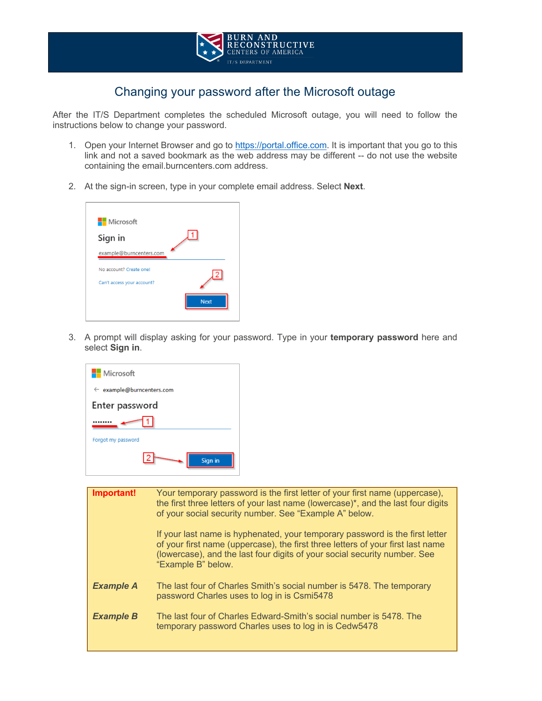

## Changing your password after the Microsoft outage

After the IT/S Department completes the scheduled Microsoft outage, you will need to follow the instructions below to change your password.

- 1. Open your Internet Browser and go to https://portal.office.com. It is important that you go to this link and not a saved bookmark as the web address may be different -- do not use the website containing the email.burncenters.com address.
- 2. At the sign-in screen, type in your complete email address. Select **Next**.



3. A prompt will display asking for your password. Type in your **temporary password** here and select **Sign in**.



| Important!       | Your temporary password is the first letter of your first name (uppercase),<br>the first three letters of your last name (lowercase)*, and the last four digits<br>of your social security number. See "Example A" below.<br>If your last name is hyphenated, your temporary password is the first letter<br>of your first name (uppercase), the first three letters of your first last name<br>(lowercase), and the last four digits of your social security number. See<br>"Example B" below. |
|------------------|-------------------------------------------------------------------------------------------------------------------------------------------------------------------------------------------------------------------------------------------------------------------------------------------------------------------------------------------------------------------------------------------------------------------------------------------------------------------------------------------------|
| <b>Example A</b> | The last four of Charles Smith's social number is 5478. The temporary<br>password Charles uses to log in is Csmi5478                                                                                                                                                                                                                                                                                                                                                                            |
| <b>Example B</b> | The last four of Charles Edward-Smith's social number is 5478. The<br>temporary password Charles uses to log in is Cedw5478                                                                                                                                                                                                                                                                                                                                                                     |